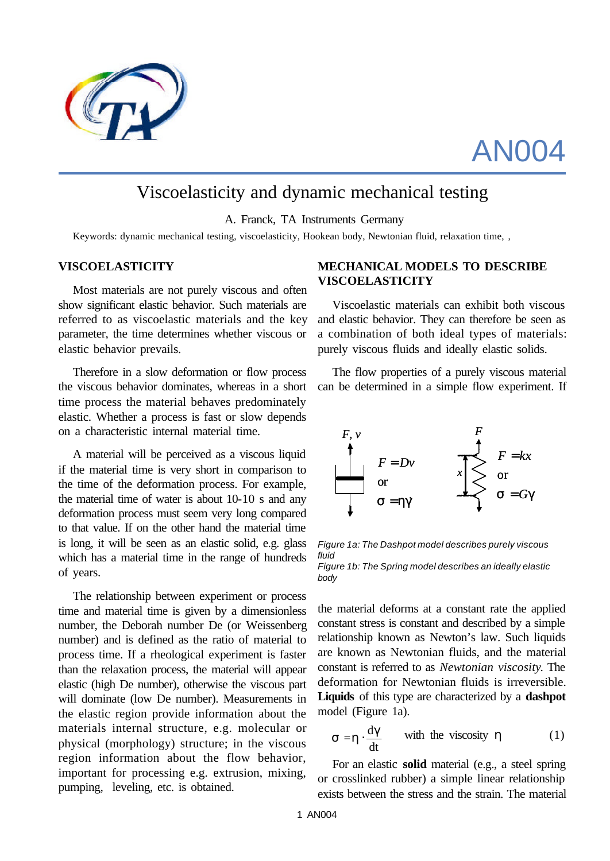

# AN004

# Viscoelasticity and dynamic mechanical testing

A. Franck, TA Instruments Germany

Keywords: dynamic mechanical testing, viscoelasticity, Hookean body, Newtonian fluid, relaxation time, ,

#### **VISCOELASTICITY**

Most materials are not purely viscous and often show significant elastic behavior. Such materials are referred to as viscoelastic materials and the key parameter, the time determines whether viscous or elastic behavior prevails.

Therefore in a slow deformation or flow process the viscous behavior dominates, whereas in a short time process the material behaves predominately elastic. Whether a process is fast or slow depends on a characteristic internal material time.

A material will be perceived as a viscous liquid if the material time is very short in comparison to the time of the deformation process. For example, the material time of water is about 10-10 s and any deformation process must seem very long compared to that value. If on the other hand the material time is long, it will be seen as an elastic solid, e.g. glass which has a material time in the range of hundreds of years.

The relationship between experiment or process time and material time is given by a dimensionless number, the Deborah number De (or Weissenberg number) and is defined as the ratio of material to process time. If a rheological experiment is faster than the relaxation process, the material will appear elastic (high De number), otherwise the viscous part will dominate (low De number). Measurements in the elastic region provide information about the materials internal structure, e.g. molecular or physical (morphology) structure; in the viscous region information about the flow behavior, important for processing e.g. extrusion, mixing, pumping, leveling, etc. is obtained.

# **MECHANICAL MODELS TO DESCRIBE VISCOELASTICITY**

Viscoelastic materials can exhibit both viscous and elastic behavior. They can therefore be seen as a combination of both ideal types of materials: purely viscous fluids and ideally elastic solids.

The flow properties of a purely viscous material can be determined in a simple flow experiment. If



*Figure 1a: The Dashpot model describes purely viscous fluid Figure 1b: The Spring model describes an ideally elastic body*

the material deforms at a constant rate the applied constant stress is constant and described by a simple relationship known as Newton's law. Such liquids are known as Newtonian fluids, and the material constant is referred to as *Newtonian viscosity*. The deformation for Newtonian fluids is irreversible. **Liquids** of this type are characterized by a **dashpot** model (Figure 1a).

$$
\mathbf{s} = \mathbf{h} \cdot \frac{\mathrm{d}\mathbf{g}}{\mathrm{d}t} \qquad \text{with the viscosity } \eta \tag{1}
$$

For an elastic **solid** material (e.g., a steel spring or crosslinked rubber) a simple linear relationship exists between the stress and the strain. The material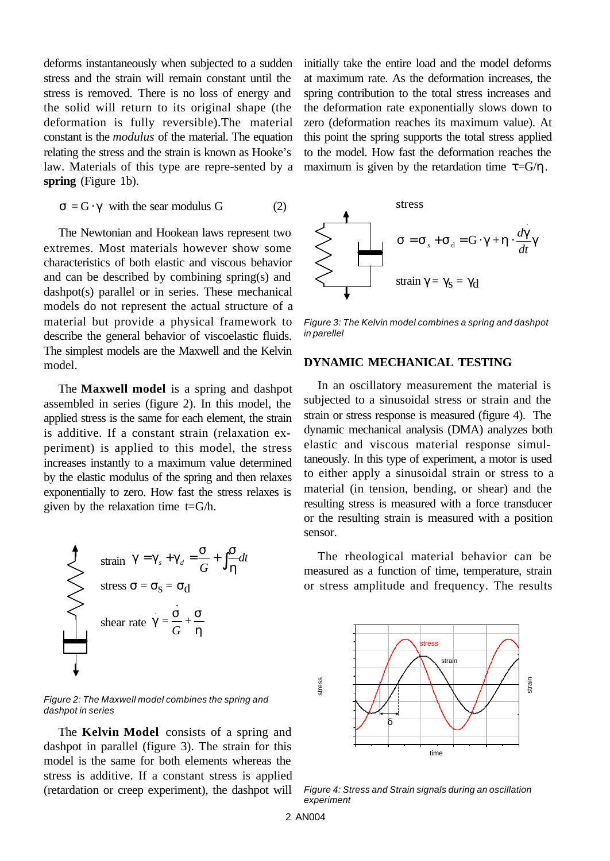deforms instantaneously when subjected to a sudden stress and the strain will remain constant until the stress is removed*.* There is no loss of energy and the solid will return to its original shape (the deformation is fully reversible).The material constant is the *modulus* of the material. The equation relating the stress and the strain is known as Hooke's law. Materials of this type are repre-sented by a **spring** (Figure 1b).

$$
s = G \cdot g \quad \text{with the search modulus } G \tag{2}
$$

The Newtonian and Hookean laws represent two extremes. Most materials however show some characteristics of both elastic and viscous behavior and can be described by combining spring(s) and dashpot(s) parallel or in series. These mechanical models do not represent the actual structure of a material but provide a physical framework to describe the general behavior of viscoelastic fluids. The simplest models are the Maxwell and the Kelvin model.

The **Maxwell model** is a spring and dashpot assembled in series (figure 2). In this model, the applied stress is the same for each element, the strain is additive. If a constant strain (relaxation experiment) is applied to this model, the stress increases instantly to a maximum value determined by the elastic modulus of the spring and then relaxes exponentially to zero. How fast the stress relaxes is given by the relaxation time  $t = G/h$ .

$$
\begin{array}{c}\n\begin{array}{c}\n\text{strain} & g = g_s + g_d = \frac{S}{G} + \int \frac{S}{h} dt \\
\text{stress } \sigma = \sigma_s = \sigma_d\n\end{array}\n\end{array}
$$
\nshear rate

\n
$$
g = \frac{S}{G} + \frac{S}{h}
$$

*Figure 2: The Maxwell model combines the spring and dashpot in series*

The **Kelvin Model** consists of a spring and dashpot in parallel (figure 3). The strain for this model is the same for both elements whereas the stress is additive. If a constant stress is applied (retardation or creep experiment), the dashpot will initially take the entire load and the model deforms at maximum rate. As the deformation increases, the spring contribution to the total stress increases and the deformation rate exponentially slows down to zero (deformation reaches its maximum value). At this point the spring supports the total stress applied to the model. How fast the deformation reaches the maximum is given by the retardation time  $\tau = G/\eta$ .



*Figure 3: The Kelvin model combines a spring and dashpot in parellel*

#### **DYNAMIC MECHANICAL TESTING**

In an oscillatory measurement the material is subjected to a sinusoidal stress or strain and the strain or stress response is measured (figure 4). The dynamic mechanical analysis (DMA) analyzes both elastic and viscous material response simultaneously. In this type of experiment, a motor is used to either apply a sinusoidal strain or stress to a material (in tension, bending, or shear) and the resulting stress is measured with a force transducer or the resulting strain is measured with a position sensor.

The rheological material behavior can be measured as a function of time, temperature, strain or stress amplitude and frequency. The results



*Figure 4: Stress and Strain signals during an oscillation experiment*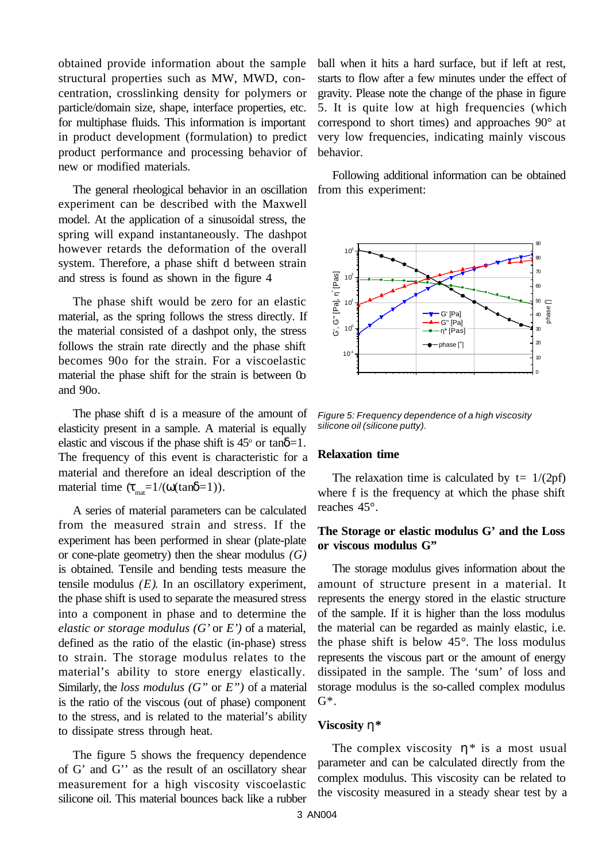obtained provide information about the sample structural properties such as MW, MWD, concentration, crosslinking density for polymers or particle/domain size, shape, interface properties, etc. for multiphase fluids. This information is important in product development (formulation) to predict product performance and processing behavior of new or modified materials.

The general rheological behavior in an oscillation experiment can be described with the Maxwell model. At the application of a sinusoidal stress, the spring will expand instantaneously. The dashpot however retards the deformation of the overall system. Therefore, a phase shift d between strain and stress is found as shown in the figure 4

The phase shift would be zero for an elastic material, as the spring follows the stress directly. If the material consisted of a dashpot only, the stress follows the strain rate directly and the phase shift becomes 90o for the strain. For a viscoelastic material the phase shift for the strain is between 0 and 90o.

The phase shift d is a measure of the amount of elasticity present in a sample. A material is equally elastic and viscous if the phase shift is  $45^{\circ}$  or tan $\delta=1$ . The frequency of this event is characteristic for a material and therefore an ideal description of the material time  $(\tau_{\text{net}}=1/(\omega(\tan\delta=1)).$ 

A series of material parameters can be calculated from the measured strain and stress. If the experiment has been performed in shear (plate-plate or cone-plate geometry) then the shear modulus *(G)* is obtained. Tensile and bending tests measure the tensile modulus *(E)*. In an oscillatory experiment, the phase shift is used to separate the measured stress into a component in phase and to determine the *elastic or storage modulus (G'* or *E')* of a material, defined as the ratio of the elastic (in-phase) stress to strain. The storage modulus relates to the material's ability to store energy elastically. Similarly, the *loss modulus (G"* or *E")* of a material is the ratio of the viscous (out of phase) component to the stress, and is related to the material's ability to dissipate stress through heat.

The figure 5 shows the frequency dependence of G' and G'' as the result of an oscillatory shear measurement for a high viscosity viscoelastic silicone oil. This material bounces back like a rubber

ball when it hits a hard surface, but if left at rest, starts to flow after a few minutes under the effect of gravity. Please note the change of the phase in figure 5. It is quite low at high frequencies (which correspond to short times) and approaches 90° at very low frequencies, indicating mainly viscous behavior.

Following additional information can be obtained from this experiment:



*Figure 5: Frequency dependence of a high viscosity silicone oil (silicone putty).*

### **Relaxation time**

The relaxation time is calculated by  $t = 1/(2pf)$ where f is the frequency at which the phase shift reaches 45°.

# **The Storage or elastic modulus G' and the Loss or viscous modulus G"**

The storage modulus gives information about the amount of structure present in a material. It represents the energy stored in the elastic structure of the sample. If it is higher than the loss modulus the material can be regarded as mainly elastic, i.e. the phase shift is below 45°. The loss modulus represents the viscous part or the amount of energy dissipated in the sample. The 'sum' of loss and storage modulus is the so-called complex modulus  $G^*$ .

#### **Viscosity h\***

The complex viscosity *h\** is a most usual parameter and can be calculated directly from the complex modulus. This viscosity can be related to the viscosity measured in a steady shear test by a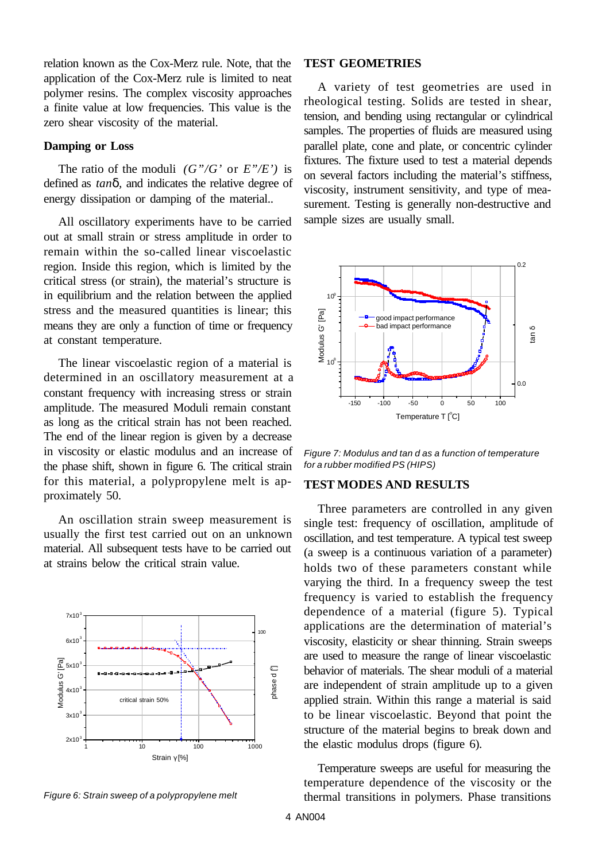relation known as the Cox-Merz rule. Note, that the application of the Cox-Merz rule is limited to neat polymer resins. The complex viscosity approaches a finite value at low frequencies. This value is the zero shear viscosity of the material.

#### **Damping or Loss**

The ratio of the moduli *(G"/G'* or *E"/E')* is defined as *tand,* and indicates the relative degree of energy dissipation or damping of the material..

All oscillatory experiments have to be carried out at small strain or stress amplitude in order to remain within the so-called linear viscoelastic region. Inside this region, which is limited by the critical stress (or strain), the material's structure is in equilibrium and the relation between the applied stress and the measured quantities is linear; this means they are only a function of time or frequency at constant temperature.

The linear viscoelastic region of a material is determined in an oscillatory measurement at a constant frequency with increasing stress or strain amplitude. The measured Moduli remain constant as long as the critical strain has not been reached. The end of the linear region is given by a decrease in viscosity or elastic modulus and an increase of the phase shift, shown in figure 6. The critical strain for this material, a polypropylene melt is approximately 50.

An oscillation strain sweep measurement is usually the first test carried out on an unknown material. All subsequent tests have to be carried out at strains below the critical strain value.



*Figure 6: Strain sweep of a polypropylene melt*

#### **TEST GEOMETRIES**

A variety of test geometries are used in rheological testing. Solids are tested in shear, tension, and bending using rectangular or cylindrical samples. The properties of fluids are measured using parallel plate, cone and plate, or concentric cylinder fixtures. The fixture used to test a material depends on several factors including the material's stiffness, viscosity, instrument sensitivity, and type of measurement. Testing is generally non-destructive and sample sizes are usually small.



*Figure 7: Modulus and tan d as a function of temperature for a rubber modified PS (HIPS)*

#### **TEST MODES AND RESULTS**

Three parameters are controlled in any given single test: frequency of oscillation, amplitude of oscillation, and test temperature. A typical test sweep (a sweep is a continuous variation of a parameter) holds two of these parameters constant while varying the third. In a frequency sweep the test frequency is varied to establish the frequency dependence of a material (figure 5). Typical applications are the determination of material's viscosity, elasticity or shear thinning. Strain sweeps are used to measure the range of linear viscoelastic behavior of materials. The shear moduli of a material are independent of strain amplitude up to a given applied strain. Within this range a material is said to be linear viscoelastic. Beyond that point the structure of the material begins to break down and the elastic modulus drops (figure 6).

Temperature sweeps are useful for measuring the temperature dependence of the viscosity or the thermal transitions in polymers. Phase transitions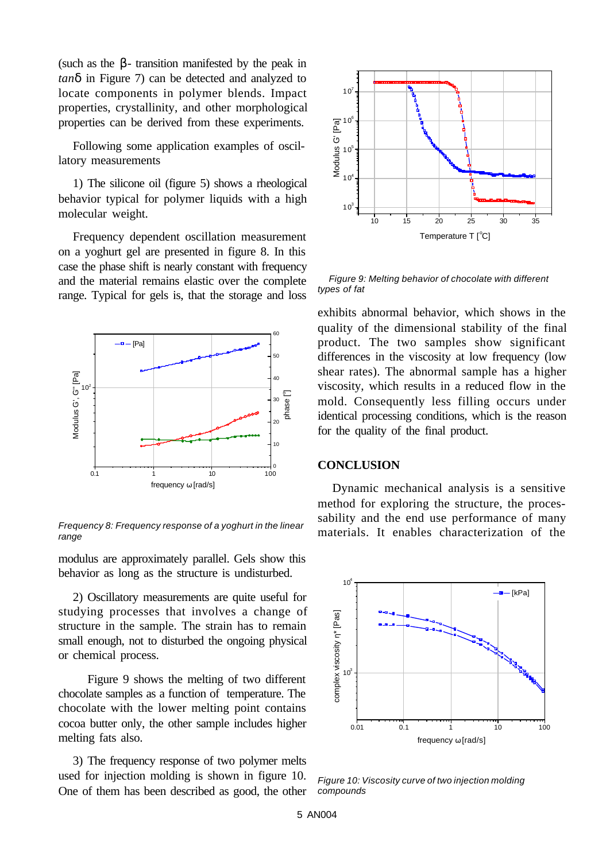(such as the  $\beta$ - transition manifested by the peak in *tand* in Figure 7) can be detected and analyzed to locate components in polymer blends. Impact properties, crystallinity, and other morphological properties can be derived from these experiments.

Following some application examples of oscillatory measurements

1) The silicone oil (figure 5) shows a rheological behavior typical for polymer liquids with a high molecular weight.

Frequency dependent oscillation measurement on a yoghurt gel are presented in figure 8. In this case the phase shift is nearly constant with frequency and the material remains elastic over the complete range. Typical for gels is, that the storage and loss



*range*

modulus are approximately parallel. Gels show this behavior as long as the structure is undisturbed.

2) Oscillatory measurements are quite useful for studying processes that involves a change of structure in the sample. The strain has to remain small enough, not to disturbed the ongoing physical or chemical process.

Figure 9 shows the melting of two different chocolate samples as a function of temperature. The chocolate with the lower melting point contains cocoa butter only, the other sample includes higher melting fats also.

3) The frequency response of two polymer melts used for injection molding is shown in figure 10. One of them has been described as good, the other



 *Figure 9: Melting behavior of chocolate with different types of fat*

exhibits abnormal behavior, which shows in the quality of the dimensional stability of the final product. The two samples show significant differences in the viscosity at low frequency (low shear rates). The abnormal sample has a higher viscosity, which results in a reduced flow in the mold. Consequently less filling occurs under identical processing conditions, which is the reason for the quality of the final product.

#### **CONCLUSION**

Dynamic mechanical analysis is a sensitive method for exploring the structure, the processability and the end use performance of many materials. It enables characterization of the *Frequency 8: Frequency response of a yoghurt in the linear*



*Figure 10: Viscosity curve of two injection molding compounds*